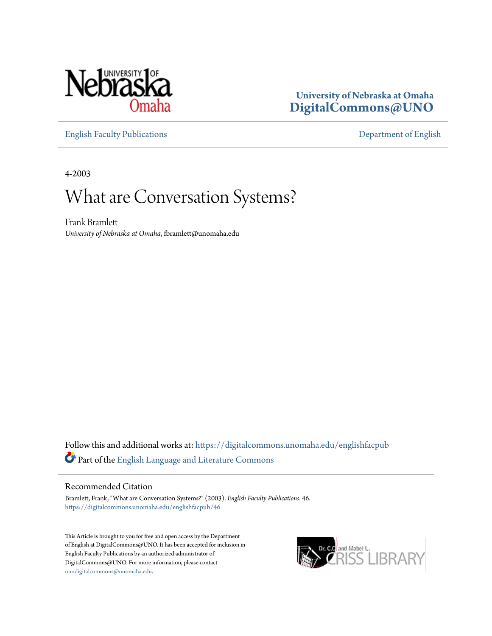

### **University of Nebraska at Omaha [DigitalCommons@UNO](https://digitalcommons.unomaha.edu?utm_source=digitalcommons.unomaha.edu%2Fenglishfacpub%2F46&utm_medium=PDF&utm_campaign=PDFCoverPages)**

[English Faculty Publications](https://digitalcommons.unomaha.edu/englishfacpub?utm_source=digitalcommons.unomaha.edu%2Fenglishfacpub%2F46&utm_medium=PDF&utm_campaign=PDFCoverPages) [Department of English](https://digitalcommons.unomaha.edu/english?utm_source=digitalcommons.unomaha.edu%2Fenglishfacpub%2F46&utm_medium=PDF&utm_campaign=PDFCoverPages)

4-2003

### What are Conversation Systems?

Frank Bramlett *University of Nebraska at Omaha*, fbramlett@unomaha.edu

Follow this and additional works at: [https://digitalcommons.unomaha.edu/englishfacpub](https://digitalcommons.unomaha.edu/englishfacpub?utm_source=digitalcommons.unomaha.edu%2Fenglishfacpub%2F46&utm_medium=PDF&utm_campaign=PDFCoverPages) Part of the [English Language and Literature Commons](http://network.bepress.com/hgg/discipline/455?utm_source=digitalcommons.unomaha.edu%2Fenglishfacpub%2F46&utm_medium=PDF&utm_campaign=PDFCoverPages)

#### Recommended Citation

Bramlett, Frank, "What are Conversation Systems?" (2003). *English Faculty Publications*. 46. [https://digitalcommons.unomaha.edu/englishfacpub/46](https://digitalcommons.unomaha.edu/englishfacpub/46?utm_source=digitalcommons.unomaha.edu%2Fenglishfacpub%2F46&utm_medium=PDF&utm_campaign=PDFCoverPages)

This Article is brought to you for free and open access by the Department of English at DigitalCommons@UNO. It has been accepted for inclusion in English Faculty Publications by an authorized administrator of DigitalCommons@UNO. For more information, please contact [unodigitalcommons@unomaha.edu](mailto:unodigitalcommons@unomaha.edu).